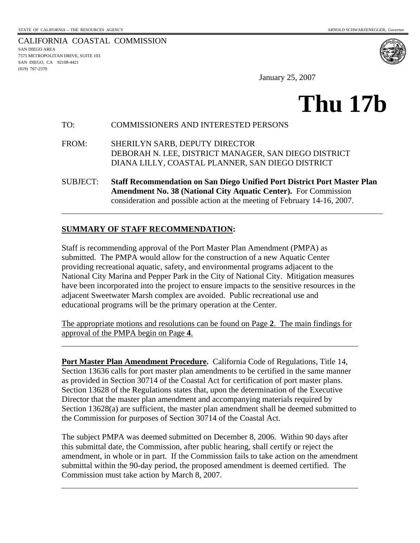7575 METROPOLITAN DRIVE, SUITE 103 SAN DIEGO, CA 92108-4421

l

 $\overline{a}$ 

l

(619) 767-2370

CALIFORNIA COASTAL COMMISSION SAN DIEGO AREA

January 25, 2007

# **Thu 17b**

#### TO: COMMISSIONERS AND INTERESTED PERSONS

FROM: SHERILYN SARB, DEPUTY DIRECTOR DEBORAH N. LEE, DISTRICT MANAGER, SAN DIEGO DISTRICT DIANA LILLY, COASTAL PLANNER, SAN DIEGO DISTRICT

SUBJECT: **Staff Recommendation on San Diego Unified Port District Port Master Plan Amendment No. 38 (National City Aquatic Center).** For Commission consideration and possible action at the meeting of February 14-16, 2007.

## **SUMMARY OF STAFF RECOMMENDATION:**

Staff is recommending approval of the Port Master Plan Amendment (PMPA) as submitted. The PMPA would allow for the construction of a new Aquatic Center providing recreational aquatic, safety, and environmental programs adjacent to the National City Marina and Pepper Park in the City of National City. Mitigation measures have been incorporated into the project to ensure impacts to the sensitive resources in the adjacent Sweetwater Marsh complex are avoided. Public recreational use and educational programs will be the primary operation at the Center.

The appropriate motions and resolutions can be found on Page **[2](#page-1-0)**. The main findings for approval of the PMPA begin on Page **[4](#page-3-0)**.

**Port Master Plan Amendment Procedure.** California Code of Regulations, Title 14, Section 13636 calls for port master plan amendments to be certified in the same manner as provided in Section 30714 of the Coastal Act for certification of port master plans. Section 13628 of the Regulations states that, upon the determination of the Executive Director that the master plan amendment and accompanying materials required by Section 13628(a) are sufficient, the master plan amendment shall be deemed submitted to the Commission for purposes of Section 30714 of the Coastal Act.

The subject PMPA was deemed submitted on December 8, 2006. Within 90 days after this submittal date, the Commission, after public hearing, shall certify or reject the amendment, in whole or in part. If the Commission fails to take action on the amendment submittal within the 90-day period, the proposed amendment is deemed certified. The Commission must take action by March 8, 2007.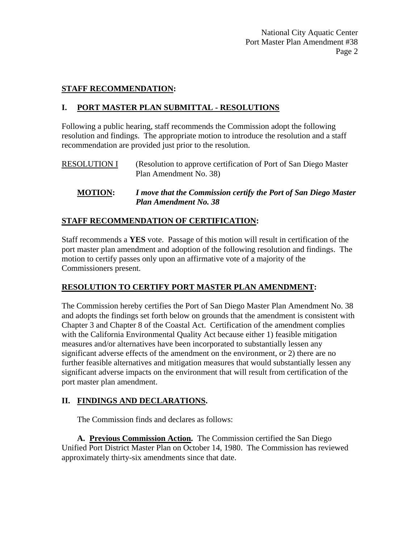## **STAFF RECOMMENDATION:**

## <span id="page-1-0"></span>**I. PORT MASTER PLAN SUBMITTAL - RESOLUTIONS**

Following a public hearing, staff recommends the Commission adopt the following resolution and findings. The appropriate motion to introduce the resolution and a staff recommendation are provided just prior to the resolution.

RESOLUTION I (Resolution to approve certification of Port of San Diego Master Plan Amendment No. 38)

**MOTION:** *I move that the Commission certify the Port of San Diego Master Plan Amendment No. 38*

## **STAFF RECOMMENDATION OF CERTIFICATION:**

Staff recommends a **YES** vote. Passage of this motion will result in certification of the port master plan amendment and adoption of the following resolution and findings. The motion to certify passes only upon an affirmative vote of a majority of the Commissioners present.

## **RESOLUTION TO CERTIFY PORT MASTER PLAN AMENDMENT:**

The Commission hereby certifies the Port of San Diego Master Plan Amendment No. 38 and adopts the findings set forth below on grounds that the amendment is consistent with Chapter 3 and Chapter 8 of the Coastal Act. Certification of the amendment complies with the California Environmental Quality Act because either 1) feasible mitigation measures and/or alternatives have been incorporated to substantially lessen any significant adverse effects of the amendment on the environment, or 2) there are no further feasible alternatives and mitigation measures that would substantially lessen any significant adverse impacts on the environment that will result from certification of the port master plan amendment.

## **II. FINDINGS AND DECLARATIONS.**

The Commission finds and declares as follows:

 **A. Previous Commission Action.** The Commission certified the San Diego Unified Port District Master Plan on October 14, 1980. The Commission has reviewed approximately thirty-six amendments since that date.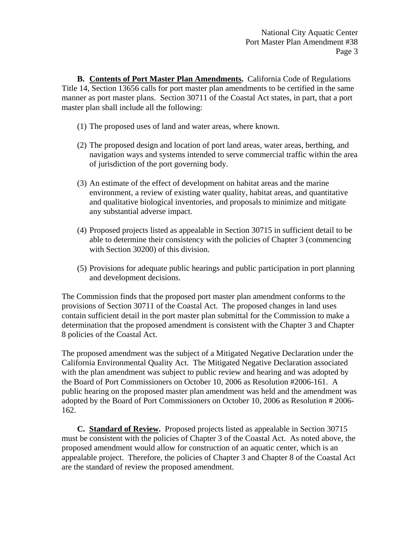**B. Contents of Port Master Plan Amendments.** California Code of Regulations Title 14, Section 13656 calls for port master plan amendments to be certified in the same manner as port master plans. Section 30711 of the Coastal Act states, in part, that a port master plan shall include all the following:

- (1) The proposed uses of land and water areas, where known.
- (2) The proposed design and location of port land areas, water areas, berthing, and navigation ways and systems intended to serve commercial traffic within the area of jurisdiction of the port governing body.
- (3) An estimate of the effect of development on habitat areas and the marine environment, a review of existing water quality, habitat areas, and quantitative and qualitative biological inventories, and proposals to minimize and mitigate any substantial adverse impact.
- (4) Proposed projects listed as appealable in Section 30715 in sufficient detail to be able to determine their consistency with the policies of Chapter 3 (commencing with Section 30200) of this division.
- (5) Provisions for adequate public hearings and public participation in port planning and development decisions.

The Commission finds that the proposed port master plan amendment conforms to the provisions of Section 30711 of the Coastal Act. The proposed changes in land uses contain sufficient detail in the port master plan submittal for the Commission to make a determination that the proposed amendment is consistent with the Chapter 3 and Chapter 8 policies of the Coastal Act.

The proposed amendment was the subject of a Mitigated Negative Declaration under the California Environmental Quality Act. The Mitigated Negative Declaration associated with the plan amendment was subject to public review and hearing and was adopted by the Board of Port Commissioners on October 10, 2006 as Resolution #2006-161. A public hearing on the proposed master plan amendment was held and the amendment was adopted by the Board of Port Commissioners on October 10, 2006 as Resolution # 2006- 162.

 **C. Standard of Review.** Proposed projects listed as appealable in Section 30715 must be consistent with the policies of Chapter 3 of the Coastal Act. As noted above, the proposed amendment would allow for construction of an aquatic center, which is an appealable project. Therefore, the policies of Chapter 3 and Chapter 8 of the Coastal Act are the standard of review the proposed amendment.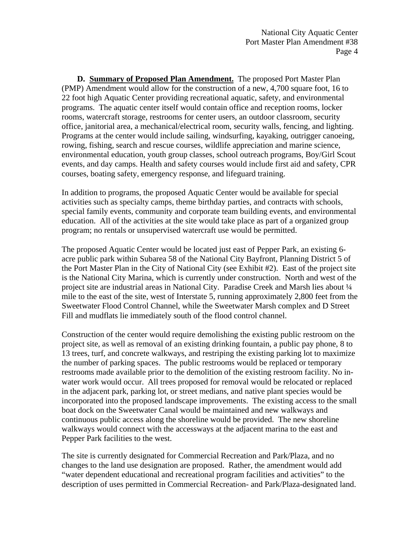<span id="page-3-0"></span> **D. Summary of Proposed Plan Amendment.** The proposed Port Master Plan (PMP) Amendment would allow for the construction of a new, 4,700 square foot, 16 to 22 foot high Aquatic Center providing recreational aquatic, safety, and environmental programs. The aquatic center itself would contain office and reception rooms, locker rooms, watercraft storage, restrooms for center users, an outdoor classroom, security office, janitorial area, a mechanical/electrical room, security walls, fencing, and lighting. Programs at the center would include sailing, windsurfing, kayaking, outrigger canoeing, rowing, fishing, search and rescue courses, wildlife appreciation and marine science, environmental education, youth group classes, school outreach programs, Boy/Girl Scout events, and day camps. Health and safety courses would include first aid and safety, CPR courses, boating safety, emergency response, and lifeguard training.

In addition to programs, the proposed Aquatic Center would be available for special activities such as specialty camps, theme birthday parties, and contracts with schools, special family events, community and corporate team building events, and environmental education. All of the activities at the site would take place as part of a organized group program; no rentals or unsupervised watercraft use would be permitted.

The proposed Aquatic Center would be located just east of Pepper Park, an existing 6 acre public park within Subarea 58 of the National City Bayfront, Planning District 5 of the Port Master Plan in the City of National City (see Exhibit #2). East of the project site is the National City Marina, which is currently under construction. North and west of the project site are industrial areas in National City. Paradise Creek and Marsh lies about ¼ mile to the east of the site, west of Interstate 5, running approximately 2,800 feet from the Sweetwater Flood Control Channel, while the Sweetwater Marsh complex and D Street Fill and mudflats lie immediately south of the flood control channel.

Construction of the center would require demolishing the existing public restroom on the project site, as well as removal of an existing drinking fountain, a public pay phone, 8 to 13 trees, turf, and concrete walkways, and restriping the existing parking lot to maximize the number of parking spaces. The public restrooms would be replaced or temporary restrooms made available prior to the demolition of the existing restroom facility. No inwater work would occur. All trees proposed for removal would be relocated or replaced in the adjacent park, parking lot, or street medians, and native plant species would be incorporated into the proposed landscape improvements. The existing access to the small boat dock on the Sweetwater Canal would be maintained and new walkways and continuous public access along the shoreline would be provided. The new shoreline walkways would connect with the accessways at the adjacent marina to the east and Pepper Park facilities to the west.

The site is currently designated for Commercial Recreation and Park/Plaza, and no changes to the land use designation are proposed. Rather, the amendment would add "water dependent educational and recreational program facilities and activities" to the description of uses permitted in Commercial Recreation- and Park/Plaza-designated land.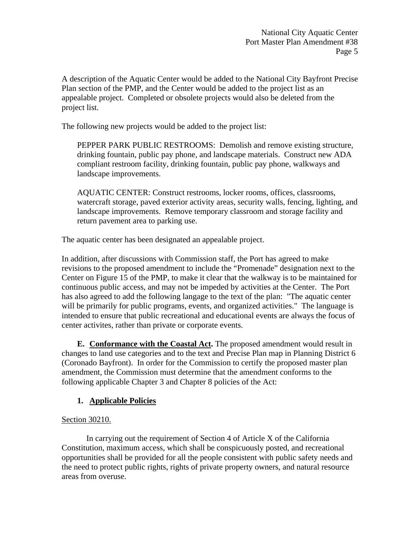A description of the Aquatic Center would be added to the National City Bayfront Precise Plan section of the PMP, and the Center would be added to the project list as an appealable project. Completed or obsolete projects would also be deleted from the project list.

The following new projects would be added to the project list:

PEPPER PARK PUBLIC RESTROOMS: Demolish and remove existing structure, drinking fountain, public pay phone, and landscape materials. Construct new ADA compliant restroom facility, drinking fountain, public pay phone, walkways and landscape improvements.

AQUATIC CENTER: Construct restrooms, locker rooms, offices, classrooms, watercraft storage, paved exterior activity areas, security walls, fencing, lighting, and landscape improvements. Remove temporary classroom and storage facility and return pavement area to parking use.

The aquatic center has been designated an appealable project.

In addition, after discussions with Commission staff, the Port has agreed to make revisions to the proposed amendment to include the "Promenade" designation next to the Center on Figure 15 of the PMP, to make it clear that the walkway is to be maintained for continuous public access, and may not be impeded by activities at the Center. The Port has also agreed to add the following langage to the text of the plan: "The aquatic center will be primarily for public programs, events, and organized activities." The language is intended to ensure that public recreational and educational events are always the focus of center activites, rather than private or corporate events.

 **E. Conformance with the Coastal Act.** The proposed amendment would result in changes to land use categories and to the text and Precise Plan map in Planning District 6 (Coronado Bayfront). In order for the Commission to certify the proposed master plan amendment, the Commission must determine that the amendment conforms to the following applicable Chapter 3 and Chapter 8 policies of the Act:

## **1. Applicable Policies**

## Section 30210.

 In carrying out the requirement of Section 4 of Article X of the California Constitution, maximum access, which shall be conspicuously posted, and recreational opportunities shall be provided for all the people consistent with public safety needs and the need to protect public rights, rights of private property owners, and natural resource areas from overuse.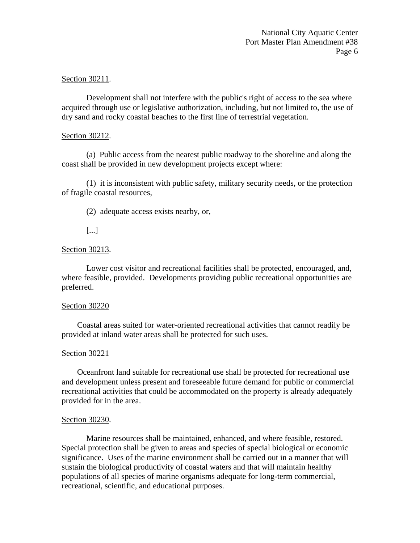## Section 30211.

 Development shall not interfere with the public's right of access to the sea where acquired through use or legislative authorization, including, but not limited to, the use of dry sand and rocky coastal beaches to the first line of terrestrial vegetation.

#### Section 30212.

 (a) Public access from the nearest public roadway to the shoreline and along the coast shall be provided in new development projects except where:

 (1) it is inconsistent with public safety, military security needs, or the protection of fragile coastal resources,

(2) adequate access exists nearby, or,

[...]

## Section 30213.

 Lower cost visitor and recreational facilities shall be protected, encouraged, and, where feasible, provided. Developments providing public recreational opportunities are preferred.

#### Section 30220

 Coastal areas suited for water-oriented recreational activities that cannot readily be provided at inland water areas shall be protected for such uses.

#### Section 30221

 Oceanfront land suitable for recreational use shall be protected for recreational use and development unless present and foreseeable future demand for public or commercial recreational activities that could be accommodated on the property is already adequately provided for in the area.

#### Section 30230.

 Marine resources shall be maintained, enhanced, and where feasible, restored. Special protection shall be given to areas and species of special biological or economic significance. Uses of the marine environment shall be carried out in a manner that will sustain the biological productivity of coastal waters and that will maintain healthy populations of all species of marine organisms adequate for long-term commercial, recreational, scientific, and educational purposes.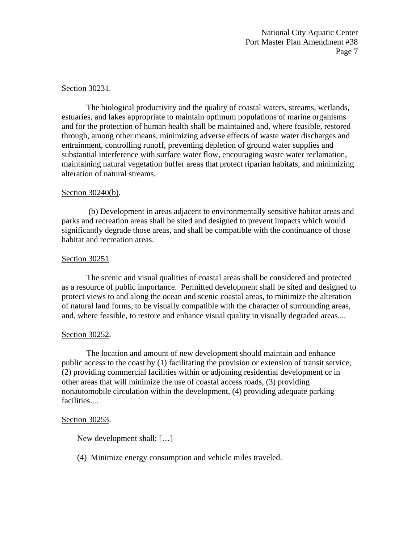#### Section 30231.

 The biological productivity and the quality of coastal waters, streams, wetlands, estuaries, and lakes appropriate to maintain optimum populations of marine organisms and for the protection of human health shall be maintained and, where feasible, restored through, among other means, minimizing adverse effects of waste water discharges and entrainment, controlling runoff, preventing depletion of ground water supplies and substantial interference with surface water flow, encouraging waste water reclamation, maintaining natural vegetation buffer areas that protect riparian habitats, and minimizing alteration of natural streams.

#### Section 30240(b).

 (b) Development in areas adjacent to environmentally sensitive habitat areas and parks and recreation areas shall be sited and designed to prevent impacts which would significantly degrade those areas, and shall be compatible with the continuance of those habitat and recreation areas.

#### Section 30251.

 The scenic and visual qualities of coastal areas shall be considered and protected as a resource of public importance. Permitted development shall be sited and designed to protect views to and along the ocean and scenic coastal areas, to minimize the alteration of natural land forms, to be visually compatible with the character of surrounding areas, and, where feasible, to restore and enhance visual quality in visually degraded areas....

#### Section 30252.

 The location and amount of new development should maintain and enhance public access to the coast by (1) facilitating the provision or extension of transit service, (2) providing commercial facilities within or adjoining residential development or in other areas that will minimize the use of coastal access roads, (3) providing nonautomobile circulation within the development, (4) providing adequate parking facilities....

#### Section 30253.

New development shall: […]

(4) Minimize energy consumption and vehicle miles traveled.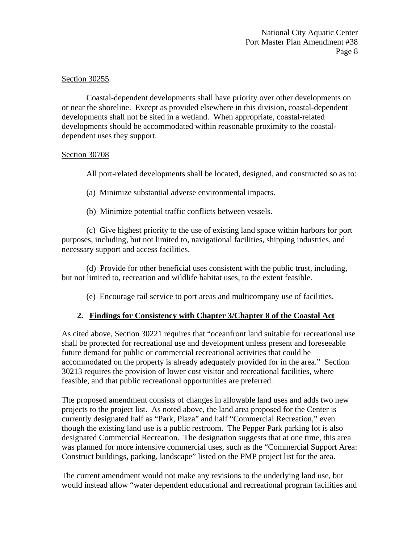## Section 30255.

 Coastal-dependent developments shall have priority over other developments on or near the shoreline. Except as provided elsewhere in this division, coastal-dependent developments shall not be sited in a wetland. When appropriate, coastal-related developments should be accommodated within reasonable proximity to the coastaldependent uses they support.

## Section 30708

All port-related developments shall be located, designed, and constructed so as to:

- (a) Minimize substantial adverse environmental impacts.
- (b) Minimize potential traffic conflicts between vessels.

 (c) Give highest priority to the use of existing land space within harbors for port purposes, including, but not limited to, navigational facilities, shipping industries, and necessary support and access facilities.

 (d) Provide for other beneficial uses consistent with the public trust, including, but not limited to, recreation and wildlife habitat uses, to the extent feasible.

(e) Encourage rail service to port areas and multicompany use of facilities.

## **2. Findings for Consistency with Chapter 3/Chapter 8 of the Coastal Act**

As cited above, Section 30221 requires that "oceanfront land suitable for recreational use shall be protected for recreational use and development unless present and foreseeable future demand for public or commercial recreational activities that could be accommodated on the property is already adequately provided for in the area." Section 30213 requires the provision of lower cost visitor and recreational facilities, where feasible, and that public recreational opportunities are preferred.

The proposed amendment consists of changes in allowable land uses and adds two new projects to the project list. As noted above, the land area proposed for the Center is currently designated half as "Park, Plaza" and half "Commercial Recreation," even though the existing land use is a public restroom. The Pepper Park parking lot is also designated Commercial Recreation. The designation suggests that at one time, this area was planned for more intensive commercial uses, such as the "Commercial Support Area: Construct buildings, parking, landscape" listed on the PMP project list for the area.

The current amendment would not make any revisions to the underlying land use, but would instead allow "water dependent educational and recreational program facilities and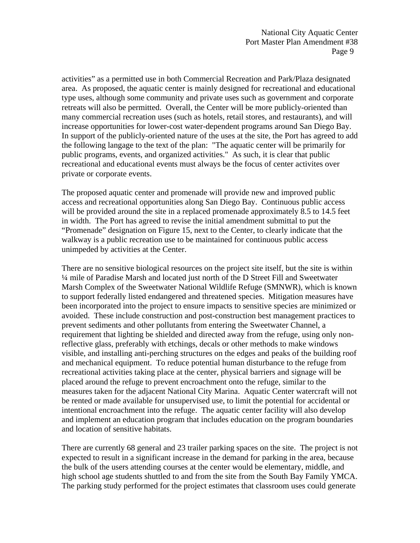activities" as a permitted use in both Commercial Recreation and Park/Plaza designated area. As proposed, the aquatic center is mainly designed for recreational and educational type uses, although some community and private uses such as government and corporate retreats will also be permitted. Overall, the Center will be more publicly-oriented than many commercial recreation uses (such as hotels, retail stores, and restaurants), and will increase opportunities for lower-cost water-dependent programs around San Diego Bay. In support of the publicly-oriented nature of the uses at the site, the Port has agreed to add the following langage to the text of the plan: "The aquatic center will be primarily for public programs, events, and organized activities." As such, it is clear that public recreational and educational events must always be the focus of center activites over private or corporate events.

The proposed aquatic center and promenade will provide new and improved public access and recreational opportunities along San Diego Bay. Continuous public access will be provided around the site in a replaced promenade approximately 8.5 to 14.5 feet in width. The Port has agreed to revise the initial amendment submittal to put the "Promenade" designation on Figure 15, next to the Center, to clearly indicate that the walkway is a public recreation use to be maintained for continuous public access unimpeded by activities at the Center.

There are no sensitive biological resources on the project site itself, but the site is within ¼ mile of Paradise Marsh and located just north of the D Street Fill and Sweetwater Marsh Complex of the Sweetwater National Wildlife Refuge (SMNWR), which is known to support federally listed endangered and threatened species. Mitigation measures have been incorporated into the project to ensure impacts to sensitive species are minimized or avoided. These include construction and post-construction best management practices to prevent sediments and other pollutants from entering the Sweetwater Channel, a requirement that lighting be shielded and directed away from the refuge, using only nonreflective glass, preferably with etchings, decals or other methods to make windows visible, and installing anti-perching structures on the edges and peaks of the building roof and mechanical equipment. To reduce potential human disturbance to the refuge from recreational activities taking place at the center, physical barriers and signage will be placed around the refuge to prevent encroachment onto the refuge, similar to the measures taken for the adjacent National City Marina. Aquatic Center watercraft will not be rented or made available for unsupervised use, to limit the potential for accidental or intentional encroachment into the refuge. The aquatic center facility will also develop and implement an education program that includes education on the program boundaries and location of sensitive habitats.

There are currently 68 general and 23 trailer parking spaces on the site. The project is not expected to result in a significant increase in the demand for parking in the area, because the bulk of the users attending courses at the center would be elementary, middle, and high school age students shuttled to and from the site from the South Bay Family YMCA. The parking study performed for the project estimates that classroom uses could generate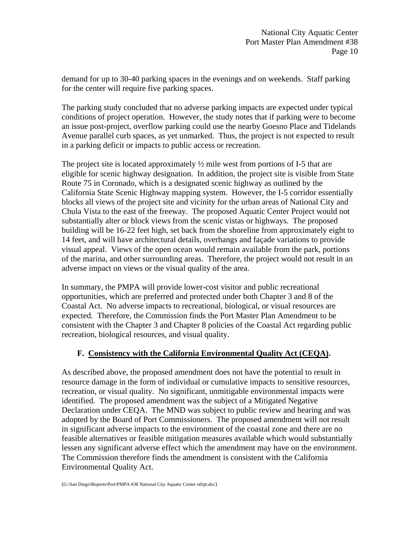demand for up to 30-40 parking spaces in the evenings and on weekends. Staff parking for the center will require five parking spaces.

The parking study concluded that no adverse parking impacts are expected under typical conditions of project operation. However, the study notes that if parking were to become an issue post-project, overflow parking could use the nearby Goesno Place and Tidelands Avenue parallel curb spaces, as yet unmarked. Thus, the project is not expected to result in a parking deficit or impacts to public access or recreation.

The project site is located approximately  $\frac{1}{2}$  mile west from portions of I-5 that are eligible for scenic highway designation. In addition, the project site is visible from State Route 75 in Coronado, which is a designated scenic highway as outlined by the California State Scenic Highway mapping system. However, the I-5 corridor essentially blocks all views of the project site and vicinity for the urban areas of National City and Chula Vista to the east of the freeway. The proposed Aquatic Center Project would not substantially alter or block views from the scenic vistas or highways. The proposed building will be 16-22 feet high, set back from the shoreline from approximately eight to 14 feet, and will have architectural details, overhangs and façade variations to provide visual appeal. Views of the open ocean would remain available from the park, portions of the marina, and other surrounding areas. Therefore, the project would not result in an adverse impact on views or the visual quality of the area.

In summary, the PMPA will provide lower-cost visitor and public recreational opportunities, which are preferred and protected under both Chapter 3 and 8 of the Coastal Act. No adverse impacts to recreational, biological, or visual resources are expected. Therefore, the Commission finds the Port Master Plan Amendment to be consistent with the Chapter 3 and Chapter 8 policies of the Coastal Act regarding public recreation, biological resources, and visual quality.

## **F. Consistency with the California Environmental Quality Act (CEQA).**

As described above, the proposed amendment does not have the potential to result in resource damage in the form of individual or cumulative impacts to sensitive resources, recreation, or visual quality. No significant, unmitigable environmental impacts were identified. The proposed amendment was the subject of a Mitigated Negative Declaration under CEQA. The MND was subject to public review and hearing and was adopted by the Board of Port Commissioners. The proposed amendment will not result in significant adverse impacts to the environment of the coastal zone and there are no feasible alternatives or feasible mitigation measures available which would substantially lessen any significant adverse effect which the amendment may have on the environment. The Commission therefore finds the amendment is consistent with the California Environmental Quality Act.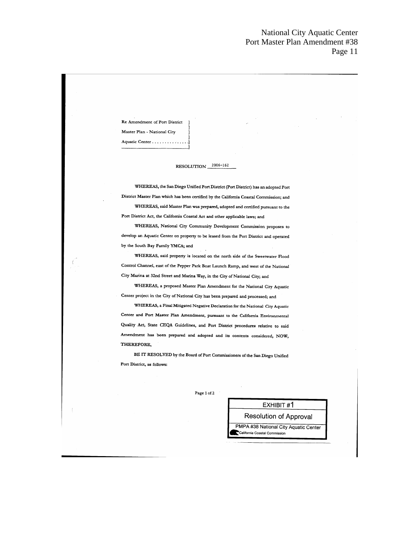Re Amendment of Port District Master Plan - National City

Aquatic Center . . . . . . . . . . . . .

#### RESOLUTION 2006-162

WHEREAS, the San Diego Unified Port District (Port District) has an adopted Port District Master Plan which has been certified by the California Coastal Commission; and WHEREAS, said Master Plan was prepared, adopted and certified pursuant to the Port District Act, the California Coastal Act and other applicable laws; and

WHEREAS, National City Community Development Commission proposes to develop an Aquatic Center on property to be leased from the Port District and operated by the South Bay Family YMCA; and

WHEREAS, said property is located on the north side of the Sweetwater Flood Control Channel, east of the Pepper Park Boat Launch Ramp, and west of the National City Marina at 32nd Street and Marina Way, in the City of National City; and

WHEREAS, a proposed Master Plan Amendment for the National City Aquatic Center project in the City of National City has been prepared and processed; and

WHEREAS, a Final Mitigated Negative Declaration for the National City Aquatic Center and Port Master Plan Amendment, pursuant to the California Environmental Quality Act, State CEQA Guidelines, and Port District procedures relative to said Amendment has been prepared and adopted and its contents considered, NOW, THEREFORE,

BE IT RESOLVED by the Board of Port Commissioners of the San Diego Unified Port District, as follows:

Page 1 of 2

#### EXHIBIT #1

**Resolution of Approval** PMPA #38 National City Aquatic Center

California Coastal Commission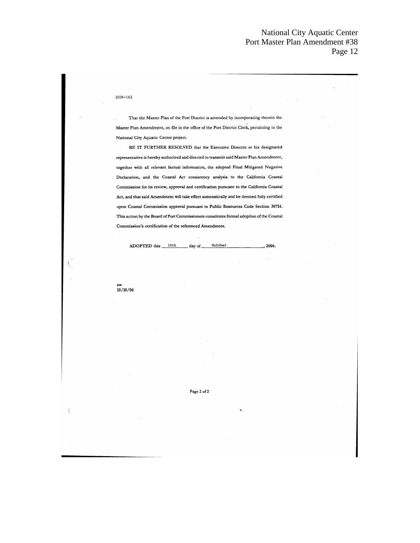#### $2006 - 162$

That the Master Plan of the Port District is amended by incorporating therein the Master Plan Amendment, on file in the office of the Port District Clerk, pertaining to the National City Aquatic Center project.

BE IT FURTHER RESOLVED that the Executive Director or his designated representative is hereby authorized and directed to transmit said Master Plan Amendment, together with all relevant factual information, the adopted Final Mitigated Negative Declaration, and the Coastal Act consistency analysis to the California Coastal Commission for its review, approval and certification pursuant to the California Coastal Act, and that said Amendment will take effect automatically and be deemed fully certified upon Coastal Commission approval pursuant to Public Resources Code Section 30714. This action by the Board of Port Commissioners constitutes formal adoption of the Coastal Commission's certification of the referenced Amendment.

ADOPTED this 10th day of 0ctober  $\frac{1}{2006}$ .

sw<br>10/10/06

Í

Page 2 of 2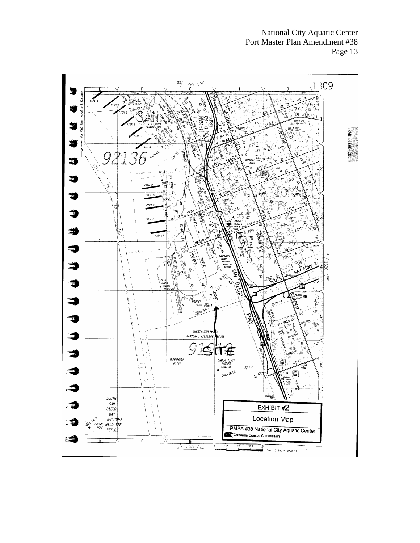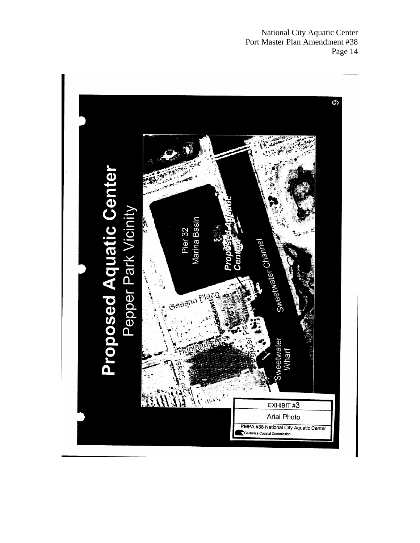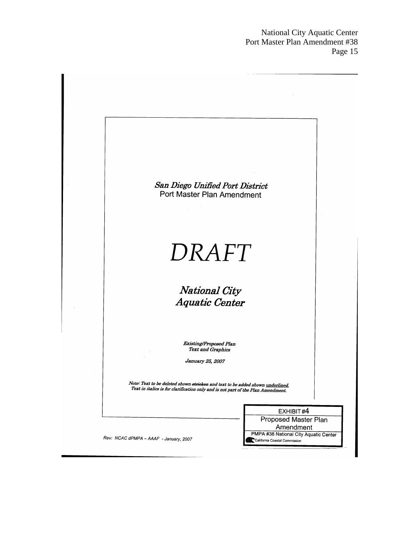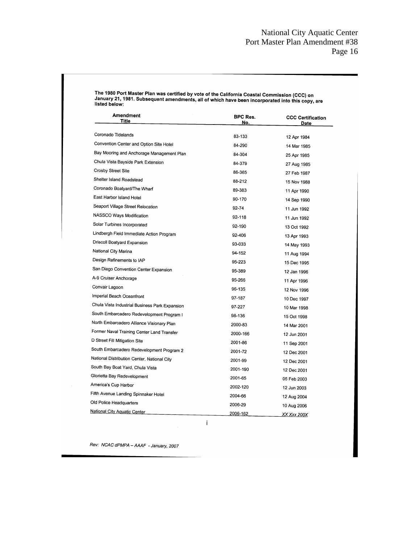The 1980 Port Master Plan was certified by vote of the California Coastal Commission (CCC) on<br>January 21, 1981. Subsequent amendments, all of which have been incorporated into this copy, are<br>listed below:

| <b>Amendment</b><br>Title                      | BPC Res.<br>No. | <b>CCC Certification</b><br>Date |  |  |
|------------------------------------------------|-----------------|----------------------------------|--|--|
| Coronado Tidelands                             |                 |                                  |  |  |
|                                                | 83-133          | 12 Apr 1984                      |  |  |
| Convention Center and Option Site Hotel        | 84-290          | 14 Mar 1985                      |  |  |
| Bay Mooring and Anchorage Management Plan      | 84-304          | 25 Apr 1985                      |  |  |
| Chula Vista Bayside Park Extension             | 84-379          | 27 Aug 1985                      |  |  |
| Crosby Street Site                             | 86-365          | 27 Feb 1987                      |  |  |
| Shelter Island Roadstead                       | 88-212          | 15 Nov 1988                      |  |  |
| Coronado Boatyard/The Wharf                    | 89-383          | 11 Apr 1990                      |  |  |
| East Harbor Island Hotel                       | 90-170          | 14 Sep 1990                      |  |  |
| Seaport Village Street Relocation              | 92-74           | 11 Jun 1992                      |  |  |
| NASSCO Ways Modification                       | 92-118          | 11 Jun 1992                      |  |  |
| Solar Turbines Incorporated                    | 92-190          | 13 Oct 1992                      |  |  |
| Lindbergh Field Immediate Action Program       | 92-406          | 13 Apr 1993                      |  |  |
| Driscoll Boatyard Expansion                    | 93-033          | 14 May 1993                      |  |  |
| National City Marina                           | 94-152          | 11 Aug 1994                      |  |  |
| Design Refinements to IAP                      | 95-223          | 15 Dec 1995                      |  |  |
| San Diego Convention Center Expansion          | 95-389          | 12 Jan 1996                      |  |  |
| A-9 Cruiser Anchorage                          | 95-266          | 11 Apr 1996                      |  |  |
| Convair Lagoon                                 | 96-135          | 12 Nov 1996                      |  |  |
| Imperial Beach Oceanfront                      | 97-187          | 10 Dec 1997                      |  |  |
| Chula Vista Industrial Business Park Expansion | 97-227          | 10 Mar 1998                      |  |  |
| South Embarcadero Redevelopment Program I      | 98-136          | 15 Oct 1998                      |  |  |
| North Embarcadero Alliance Visionary Plan      | 2000-83         | 14 Mar 2001                      |  |  |
| Former Naval Training Center Land Transfer     | 2000-166        | 12 Jun 2001                      |  |  |
| D Street Fill Mitigation Site                  | 2001-86         | 11 Sep 2001                      |  |  |
| South Embarcadero Redevelopment Program 2      | 2001-72         | 12 Dec 2001                      |  |  |
| National Distribution Center, National City    | 2001-99         | 12 Dec 2001                      |  |  |
| South Bay Boat Yard, Chula Vista               | 2001-190        | 12 Dec 2001                      |  |  |
| Glorietta Bay Redevelopment                    | 2001-65         | 05 Feb 2003                      |  |  |
| America's Cup Harbor                           | 2002-120        | 12 Jun 2003                      |  |  |
| Fifth Avenue Landing Spinnaker Hotel           | 2004-66         | 12 Aug 2004                      |  |  |
| Old Police Headquarters                        | 2006-29         | 10 Aug 2006                      |  |  |
| <b>National City Aquatic Center</b>            | 2006-162        | <u>XX Xxx 200X</u>               |  |  |

Rev: NCAC dPMPA - AAAF - January, 2007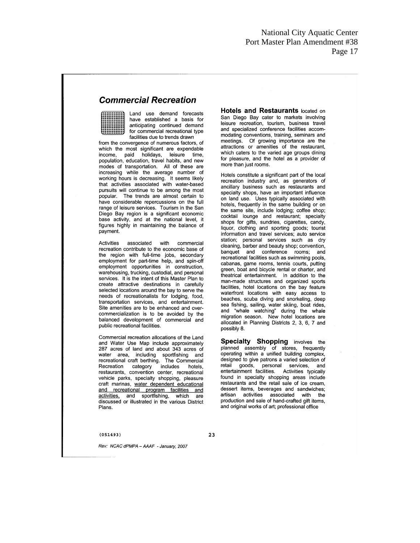## **Commercial Recreation**

Land use demand forecasts have established a basis for anticipating continued demand for commercial recreational type facilities due to trends drawn

from the convergence of numerous factors, of which the most significant are expendable income, paid holidays, leisure time population, education, travel habits, and new modes of transportation. All of these are increasing while the average number of working hours is decreasing. It seems likely<br>that activities associated with water-based pursuits will continue to be among the most popular. The trends are almost certain to have considerable repercussions on the full range of leisure services. Tourism in the San Diego Bay region is a significant economic base activity, and at the national level, it figures highly in maintaining the balance of payment.

Activities associated with commercial recreation contribute to the economic base of the region with full-time jobs, secondary employment for part-time help, and spin-off employment opportunities in construction, warehousing, trucking, custodial, and personal services. It is the intent of this Master Plan to create attractive destinations in carefully selected locations around the bay to serve the needs of recreationalists for lodging, food, transportation services, and entertainment. Site amenities are to be enhanced and overcommercialization is to be avoided by the balanced development of commercial and public recreational facilities.

Commercial recreation allocations of the Land and Water Use Map include approximately 287 acres of land and about 343 acres of water area, including sportfishing and recreational craft berthing. The Commercial category includes Recreation hotels restaurants, convention center, recreational vehicle parks, specialty shopping, pleasure craft marinas, water dependent educational and recreational program facilities and activities, and sportfishing, which are discussed or illustrated in the various District Plans.

**Hotels and Restaurants located on** San Diego Bay cater to markets involving leisure recreation, tourism, business travel and specialized conference facilities accommodating conventions, training, seminars and meetings. Of growing importance are the attractions or amenities of the restaurant, which caters to the varied age groups dining for pleasure, and the hotel as a provider of more than just rooms.

Hotels constitute a significant part of the local recreation industry and, as generators of ancillary business such as restaurants and specialty shops, have an important influence on land use. Uses typically associated with hotels, frequently in the same building or on the same site, include lodging; coffee shop; cocktail lounge and restaurant; specialty shops for gifts, sundries, cigarettes, candy, liquor, clothing and sporting goods; tourist information and travel services; auto service station; personal services such as dry cleaning, barber and beauty shop; convention, banquet and conference rooms; and recreational facilities such as swimming pools. cabanas, game rooms, tennis courts, putting green, boat and bicycle rental or charter, and theatrical entertainment. In addition to the man-made structures and organized sports facilities, hotel locations on the bay feature waterfront locations with easy access to beaches, scuba diving and snorkeling, deep sea fishing, sailing, water skiing, boat rides, and "whale watching" during the whale migration season. New hotel locations are allocated in Planning Districts 2, 3, 6, 7 and possibly 8.

Specialty Shopping involves the planned assembly of stores, frequently operating within a unified building complex, designed to give patrons a varied selection of retail goods, personal services, and entertainment facilities. Activities typically found in specialty shopping areas include<br>restaurants and the retail sale of ice cream, dessert items, beverages and sandwiches; artisan activities associated with the production and sale of hand-crafted gift items. and original works of art; professional office

#### $(051493)$

23

Rev: NCAC dPMPA - AAAF - January. 2007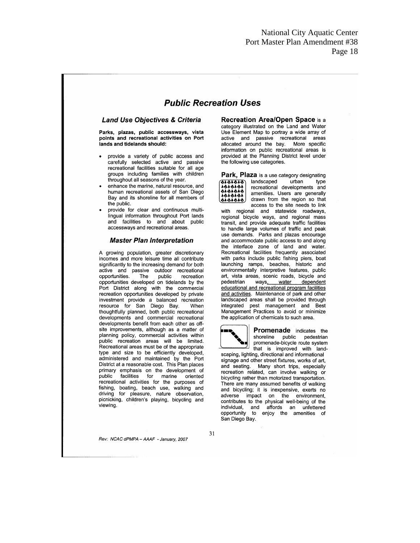## **Public Recreation Uses**

#### **Land Use Objectives & Criteria**

Parks, plazas, public accessways, vista points and recreational activities on Port lands and tidelands should:

- provide a variety of public access and<br>carefully selected active and passive recreational facilities suitable for all age groups including families with children throughout all seasons of the year.
- enhance the marine, natural resource, and human recreational assets of San Diego Bay and its shoreline for all members of the public.
- provide for clear and continuous multilingual information throughout Port lands and facilities to and about public accessways and recreational areas.

#### **Master Plan Interpretation**

A growing population, greater discretionary incomes and more leisure time all contribute significantly to the increasing demand for both active and passive outdoor recreational public opportunities. The recreation opportunities developed on tidelands by the Port District along with the commercial recreation opportunities developed by private investment provide a balanced recreation resource for San Diego Bay. When thoughtfully planned, both public recreational developments and commercial recreational developments benefit from each other as offsite improvements, although as a matter of planning policy, commercial activities within public recreation areas will be limited. Recreational areas must be of the appropriate type and size to be efficiently developed, administered and maintained by the Port District at a reasonable cost. This Plan places primary emphasis on the development of<br>public facilities for marine oriented recreational activities for the purposes of fishing, boating, beach use, walking and driving for pleasure, nature observation, picnicking, children's playing, bicycling and viewing.

Rev: NCAC dPMPA - AAAF - January. 2007

**Recreation Area/Open Space is a** category illustrated on the Land and Water Use Element Map to portray a wide array of active and passive recreational areas allocated around the bay. More specific information on public recreational areas is provided at the Planning District level under the following use categories.

Park, Plaza is a use category designating 0101010<br>1010101<br>0101010<br>1010101 landscaped urban type recreational developments and amenities. Users are generally drawn from the region so that لېقچىقىق access to the site needs to link

with regional and statewide roadways, regional bicycle ways, and regional mass transit, and provide adequate traffic facilities to handle large volumes of traffic and peak use demands. Parks and plazas encourage and accommodate public access to and along the interface zone of land and water. Recreational facilities frequently associated with parks include public fishing piers, boat launching ramps, beaches, historic and environmentally interpretive features, public art, vista areas, scenic roads, bicycle and pedestrian ways, water dependent educational and recreational program facilities and activities. Maintenance of park and other landscaped areas shall be provided through integrated pest management and Best Management Practices to avoid or minimize the application of chemicals to such area.



Promenade indicates the shoreline public pedestrian promenade-bicycle route system that is improved with land-

scaping, lighting, directional and informational signage and other street fixtures, works of art, and seating. Many short trips, especially recreation related, can involve walking or bicycling rather than motorized transportation. There are many assumed benefits of walking and bicycling; it is inexpensive, exerts no adverse impact on the environment, contributes to the physical well-being of the individual, and affords an unfettered<br>opportunity to enjoy the amenities of San Diego Bay.

31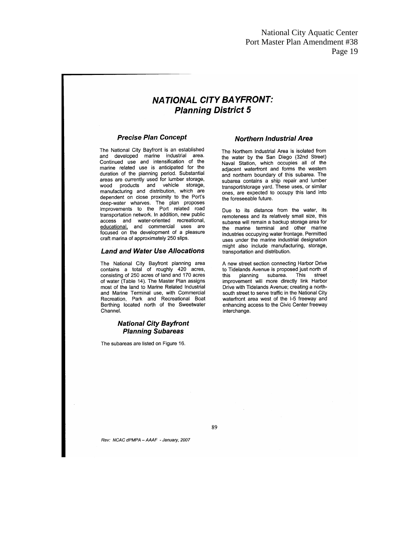## **NATIONAL CITY BAYFRONT: Planning District 5**

#### **Precise Plan Concept**

The National City Bayfront is an established and developed marine industrial area. Continued use and intensification of the marine related use is anticipated for the duration of the planning period. Substantial areas are currently used for lumber storage, wood products and vehicle storage,<br>manufacturing and distribution, which are dependent on close proximity to the Port's deep-water wharves. The plan proposes<br>improvements to the Port related road transportation network. In addition, new public access and water-oriented recreational, educational, and commercial uses are focused on the development of a pleasure craft marina of approximately 250 slips.

#### **Land and Water Use Allocations**

The National City Bayfront planning area contains a total of roughly 420 acres, consisting of 250 acres of land and 170 acres of water (Table 14). The Master Plan assigns most of the land to Marine Related Industrial and Marine Terminal use, with Commercial Recreation, Park and Recreational Boat Berthing located north of the Sweetwater Channel.

#### **National City Bayfront Planning Subareas**

The subareas are listed on Figure 16.

#### **Northern Industrial Area**

The Northern Industrial Area is isolated from the water by the San Diego (32nd Street) Naval Station, which occupies all of the adiacent waterfront and forms the western and northern boundary of this subarea. The subarea contains a ship repair and lumber transport/storage yard. These uses, or similar ones, are expected to occupy this land into the foreseeable future.

Due to its distance from the water, its remoteness and its relatively small size, this subarea will remain a backup storage area for the marine terminal and other marine industries occupying water frontage. Permitted uses under the marine industrial designation might also include manufacturing, storage, transportation and distribution.

A new street section connecting Harbor Drive to Tidelands Avenue is proposed just north of this planning subarea. This street<br>improvement will more directly link Harbor Drive with Tidelands Avenue; creating a northsouth street to serve traffic in the National City waterfront area west of the I-5 freeway and enhancing access to the Civic Center freeway interchange.

89

Rev: NCAC dPMPA - AAAF - January, 2007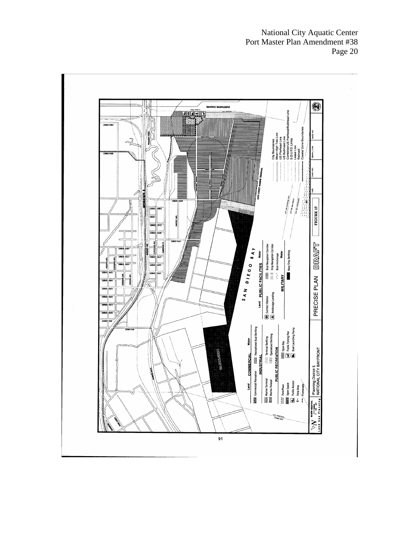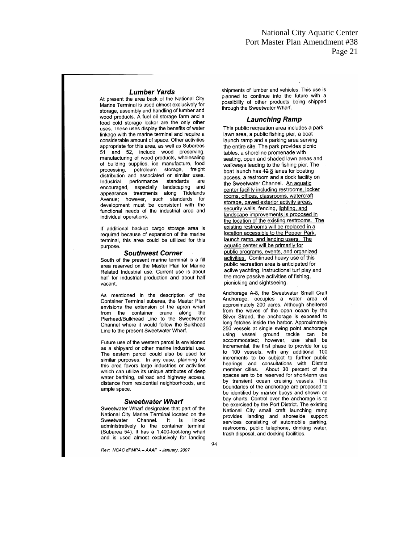#### **Lumber Yards**

At present the area back of the National City Marine Terminal is used almost exclusively for storage, assembly and handling of lumber and wood products. A fuel oil storage farm and a food cold storage locker are the only other uses. These uses display the benefits of water linkage with the marine terminal and require a considerable amount of space. Other activities appropriate for this area, as well as Subareas 51 and 52, include wood preserving, manufacturing of wood products, wholesaling of building supplies, ice manufacture, food processing, petroleum storage, freight distribution and associated or similar uses. performance Industrial standards are encouraged, especially landscaping and appearance treatments along Tidelands Avenue; however, such standards for<br>development must be consistent with the functional needs of the industrial area and individual operations.

If additional backup cargo storage area is required because of expansion of the marine terminal, this area could be utilized for this purpose.

#### **Southwest Corner**

South of the present marine terminal is a fill area reserved on the Master Plan for Marine Related Industrial use. Current use is about half for industrial production and about half vacant.

As mentioned in the description of the Container Terminal subarea, the Master Plan envisions the extension of the apron wharf from the container crane along the Pierhead/Bulkhead Line to the Sweetwater Channel where it would follow the Bulkhead Line to the present Sweetwater Wharf.

Future use of the western parcel is envisioned as a shipyard or other marine industrial use. The eastern parcel could also be used for similar purposes. In any case, planning for this area favors large industries or activities which can utilize its unique attributes of deep water berthing, railroad and highway access. distance from residential neighborhoods, and ample space.

#### **Sweetwater Wharf**

Sweetwater Wharf designates that part of the National City Marine Terminal located on the Sweetwater Channel.  $It$ is linked administratively to the container terminal (Subarea 54). It has a 1,400-foot-long wharf and is used almost exclusively for landing

Rev: NCAC dPMPA - AAAF - January, 2007

shipments of lumber and vehicles. This use is planned to continue into the future with a .<br>possibility of other products being shipped through the Sweetwater Wharf.

#### **Launching Ramp**

This public recreation area includes a park lawn area, a public fishing pier, a boat launch ramp and a parking area serving the entire site. The park provides picnic tables, a shoreline promenade with seating, open and shaded lawn areas and walkways leading to the fishing pier. The boat launch has 42 8 lanes for boating access, a restroom and a dock facility on the Sweetwater Channel. An aquatic center facility including restrooms, locker rooms, offices, classrooms, watercraft storage, paved exterior activity areas. security walls, fencing, lighting, and landscape improvements is proposed in the location of the existing restrooms. The existing restrooms will be replaced in a location accessible to the Pepper Park, launch ramp, and landing users. The aquatic center will be primarily for public programs, events, and organized activities. Continued heavy use of this public recreation area is anticipated for active yachting, instructional turf play and the more passive activities of fishing, picnicking and sightseeing.

Anchorage A-8, the Sweetwater Small Craft Anchorage, occupies a water area of approximately 200 acres. Although sheltered from the waves of the open ocean by the Silver Strand, the anchorage is exposed to long fetches inside the harbor. Approximately 250 vessels at single swing point anchorage using vessel ground tackle can he accommodated; however, use shall be incremental, the first phase to provide for up to 100 vessels, with any additional 100 increments to be subject to further public hearings and consultations with District member cities. About 30 percent of the spaces are to be reserved for short-term use by transient ocean cruising vessels. The boundaries of the anchorage are proposed to be identified by marker buoys and shown on bay charts. Control over the anchorage is to be exercised by the Port District. The existing National City small craft launching ramp provides landing and shoreside support services consisting of automobile parking, restrooms, public telephone, drinking water, trash disposal, and docking facilities.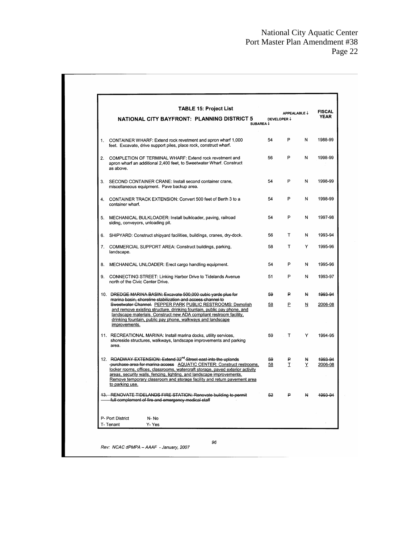| <b>TABLE 15: Project List</b>                                                                                                                                                                                                                                                                                                   |                                               |              |                         | <b>FISCAL</b> |
|---------------------------------------------------------------------------------------------------------------------------------------------------------------------------------------------------------------------------------------------------------------------------------------------------------------------------------|-----------------------------------------------|--------------|-------------------------|---------------|
| NATIONAL CITY BAYFRONT: PLANNING DISTRICT 5<br>SUBAREA ↓                                                                                                                                                                                                                                                                        | APPEALABLE $\downarrow$<br><b>DEVELOPER ↓</b> |              |                         | <b>YEAR</b>   |
| 1. CONTAINER WHARF: Extend rock revetment and apron wharf 1,000<br>feet. Excavate, drive support piles, place rock, construct wharf.                                                                                                                                                                                            | 54                                            | P            | N                       | 1988-99       |
| 2. COMPLETION OF TERMINAL WHARF: Extend rock revetment and<br>apron wharf an additional 2,400 feet, to Sweetwater Wharf. Construct<br>as above.                                                                                                                                                                                 | 56                                            | P            | N                       | 1998-99       |
| 3. SECOND CONTAINER CRANE: Install second container crane,<br>miscellaneous equipment. Pave backup area.                                                                                                                                                                                                                        | 54                                            | P            | N                       | 1998-99       |
| 4. CONTAINER TRACK EXTENSION: Convert 500 feet of Berth 3 to a<br>container wharf.                                                                                                                                                                                                                                              | 54                                            | P            | N                       | 1998-99       |
| 5. MECHANICAL BULKLOADER: Install bulkloader, paving, railroad<br>siding, conveyors, unloading pit.                                                                                                                                                                                                                             | 54                                            | P            | N                       | 1997-98       |
| 6. SHIPYARD: Construct shipyard facilities, buildings, cranes, dry-dock.                                                                                                                                                                                                                                                        | 56                                            | T.           | N                       | 1993-94       |
| 7. COMMERCIAL SUPPORT AREA: Construct buildings, parking,<br>landscape.                                                                                                                                                                                                                                                         | 58                                            | T.           | Y                       | 1995-96       |
| 8. MECHANICAL UNLOADER: Erect cargo handling equipment.                                                                                                                                                                                                                                                                         | 54                                            | P            | N                       | 1995-96       |
| 9. CONNECTING STREET: Linking Harbor Drive to Tidelands Avenue<br>north of the Civic Center Drive.                                                                                                                                                                                                                              | 51                                            | P            | N                       | 1993-97       |
| 10. DREDGE MARINA BASIN: Excavate 500,000 cubic yards plus for<br>marina basin, shoreline stabilization and access channel to                                                                                                                                                                                                   | 59                                            | ₽            | H.                      | 1993-94       |
| Sweetwater Channel. PEPPER PARK PUBLIC RESTROOMS: Demolish<br>and remove existing structure, drinking fountain, public pay phone, and<br>landscape materials. Construct new ADA compliant restroom facility,<br>drinking fountain, public pay phone, walkways and landscape<br>improvements.                                    | 58                                            | P.           | $\overline{\mathsf{N}}$ | 2006-08       |
| 11. RECREATIONAL MARINA: Install marina docks, utility services,<br>shoreside structures, walkways, landscape improvements and parking<br>area.                                                                                                                                                                                 | 59                                            | $\mathsf{T}$ | Y                       | 1994-95       |
| 12. ROADWAY EXTENSION: Extend 32 <sup>nd</sup> Street east into the uplands                                                                                                                                                                                                                                                     | 59                                            | ₽            | H,                      | 1993-94       |
| -purchase area for marina access AQUATIC CENTER: Construct restrooms,<br>locker rooms, offices, classrooms, watercraft storage, paved exterior activity<br>areas, security walls, fencing, lighting, and landscape improvements.<br>Remove temporary classroom and storage facility and return pavement area<br>to parking use. | 58                                            | I            | Y                       | 2006-08       |
| 13. RENOVATE TIDELANDS FIRE STATION: Renovate building to permit<br>full complement of fire and emergency medical staff                                                                                                                                                                                                         | 52                                            | ₽            | ų                       | 1993-94       |
| P- Port District<br>N-No                                                                                                                                                                                                                                                                                                        |                                               |              |                         |               |
| T-Tenant<br>Y- Yes                                                                                                                                                                                                                                                                                                              |                                               |              |                         |               |